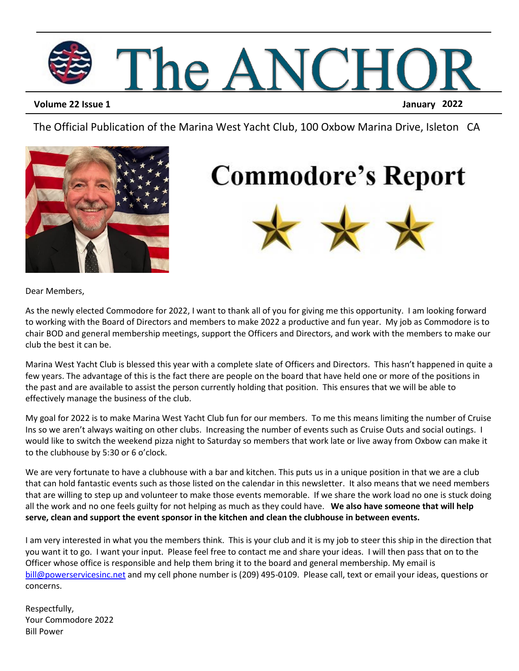

**Volume 22 Issue 1 January 2022**

The Official Publication of the Marina West Yacht Club, 100 Oxbow Marina Drive, Isleton CA



## **Commodore's Report**



Dear Members,

As the newly elected Commodore for 2022, I want to thank all of you for giving me this opportunity. I am looking forward to working with the Board of Directors and members to make 2022 a productive and fun year. My job as Commodore is to chair BOD and general membership meetings, support the Officers and Directors, and work with the members to make our club the best it can be.

Marina West Yacht Club is blessed this year with a complete slate of Officers and Directors. This hasn't happened in quite a few years. The advantage of this is the fact there are people on the board that have held one or more of the positions in the past and are available to assist the person currently holding that position. This ensures that we will be able to effectively manage the business of the club.

My goal for 2022 is to make Marina West Yacht Club fun for our members. To me this means limiting the number of Cruise Ins so we aren't always waiting on other clubs. Increasing the number of events such as Cruise Outs and social outings. I would like to switch the weekend pizza night to Saturday so members that work late or live away from Oxbow can make it to the clubhouse by 5:30 or 6 o'clock.

We are very fortunate to have a clubhouse with a bar and kitchen. This puts us in a unique position in that we are a club that can hold fantastic events such as those listed on the calendar in this newsletter. It also means that we need members that are willing to step up and volunteer to make those events memorable. If we share the work load no one is stuck doing all the work and no one feels guilty for not helping as much as they could have. **We also have someone that will help serve, clean and support the event sponsor in the kitchen and clean the clubhouse in between events.** 

I am very interested in what you the members think. This is your club and it is my job to steer this ship in the direction that you want it to go. I want your input. Please feel free to contact me and share your ideas. I will then pass that on to the Officer whose office is responsible and help them bring it to the board and general membership. My email is [bill@powerservicesinc.net](mailto:bill@powerservicesinc.net) and my cell phone number is (209) 495-0109. Please call, text or email your ideas, questions or concerns.

Respectfully, Your Commodore 2022 Bill Power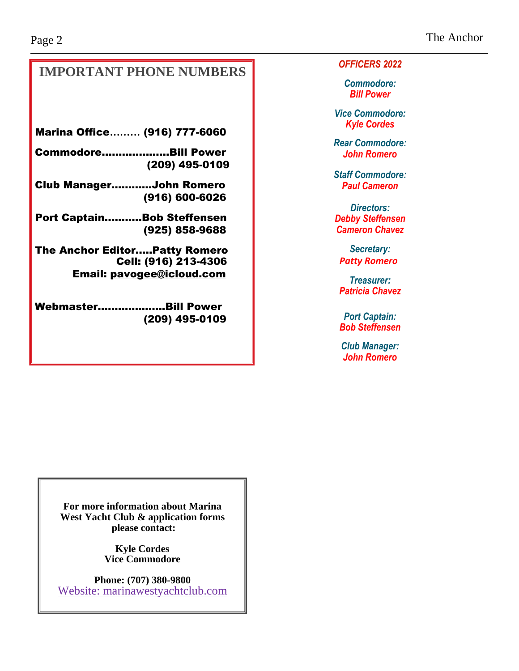The Anchor

### **IMPORTANT PHONE NUMBERS**

Marina Office**………** (916) 777-6060

Commodore…...……..…...Bill Power (209) 495-0109

Club Manager………...John Romero (916) 600-6026

Port Captain........…Bob Steffensen (925) 858-9688

The Anchor Editor…..Patty Romero Cell: (916) 213-4306 Email: [pavogee@icloud.com](mailto:pavogee@icloud.com)

Webmaster……….……....Bill Power (209) 495-0109 *OFFICERS 2022*

*Commodore: Bill Power*

*Vice Commodore: Kyle Cordes*

*Rear Commodore: John Romero* 

*Staff Commodore: Paul Cameron*

*Directors: Debby Steffensen Cameron Chavez*

*Secretary: Patty Romero*

*Treasurer: Patricia Chavez*

*Port Captain: Bob Steffensen*

*Club Manager: John Romero*

**For more information about Marina West Yacht Club & application forms please contact:**

> **Kyle Cordes Vice Commodore**

**Phone: (707) 380-9800** Website: marinawestyachtclub.com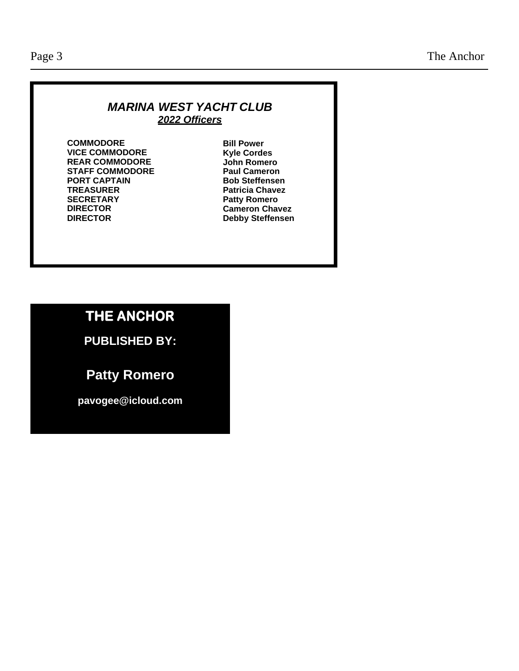#### *MARINA WEST YACHT CLUB 2022 Officers*

**COMMODORE VICE COMMODORE REAR COMMODORE STAFF COMMODORE PORT CAPTAIN TREASURER SECRETARY DIRECTOR DIRECTOR**

**Bill Power Kyle Cordes John Romero Paul Cameron Bob Steffensen Patricia Chavez Patty Romero Cameron Chavez Debby Steffensen**

### **THE ANCHOR**

**PUBLISHED BY:**

**Patty Romero**

**[pavogee@icloud.com](mailto:mwyc@att.net)**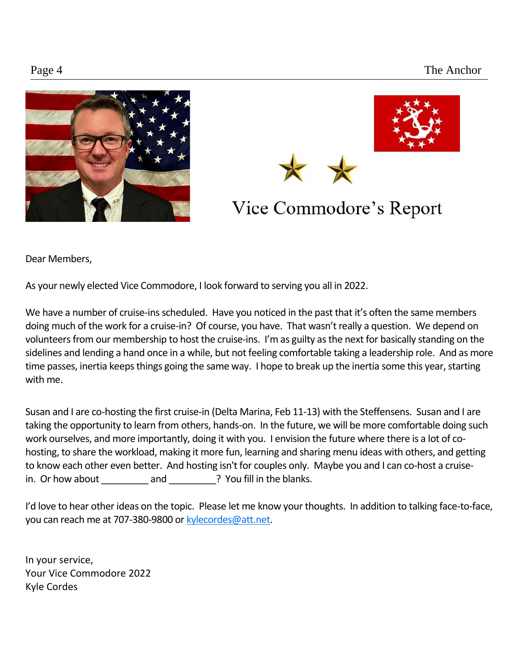



### Vice Commodore's Report

Dear Members,

As your newly elected Vice Commodore, I look forward to serving you all in 2022.

We have a number of cruise-ins scheduled. Have you noticed in the past that it's often the same members doing much of the work for a cruise-in? Of course, you have. That wasn't really a question. We depend on volunteers from our membership to host the cruise-ins. I'm as guilty as the next for basically standing on the sidelines and lending a hand once in a while, but not feeling comfortable taking a leadership role. And as more time passes, inertia keeps things going the same way. I hope to break up the inertia some this year, starting with me.

Susan and I are co-hosting the first cruise-in (Delta Marina, Feb 11-13) with the Steffensens. Susan and I are taking the opportunity to learn from others, hands-on. In the future, we will be more comfortable doing such work ourselves, and more importantly, doing it with you. I envision the future where there is a lot of cohosting, to share the workload, making it more fun, learning and sharing menu ideas with others, and getting to know each other even better. And hosting isn't for couples only. Maybe you and I can co-host a cruisein. Or how about and **and** and **Properties** You fill in the blanks.

I'd love to hear other ideas on the topic. Please let me know your thoughts. In addition to talking face-to-face, you can reach me at 707-380-9800 or [kylecordes@att.net.](mailto:kylecordes@att.net)

In your service, Your Vice Commodore 2022 Kyle Cordes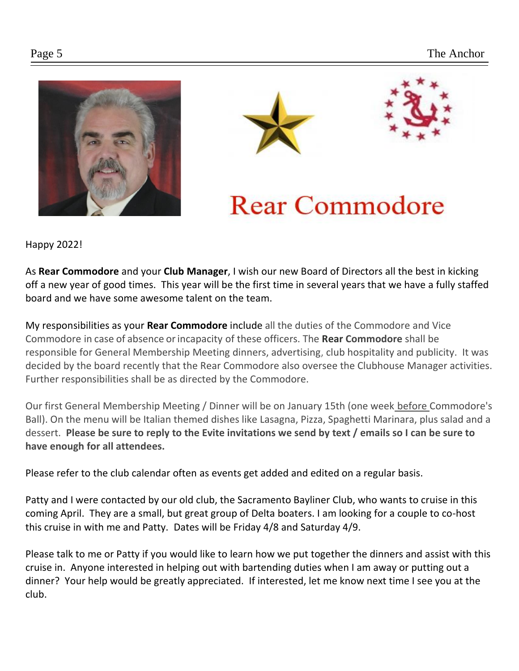



## **Rear Commodore**

 Happy 2022!

As **Rear Commodore** and your **Club Manager**, I wish our new Board of Directors all the best in kicking off a new year of good times. This year will be the first time in several years that we have a fully staffed board and we have some awesome talent on the team.

My responsibilities as your **Rear Commodore** include all the duties of the Commodore and Vice Commodore in case of absence orincapacity of these officers. The **Rear Commodore** shall be responsible for General Membership Meeting dinners, advertising, club hospitality and publicity. It was decided by the board recently that the Rear Commodore also oversee the Clubhouse Manager activities. Further responsibilities shall be as directed by the Commodore.

Our first General Membership Meeting / Dinner will be on January 15th (one week before Commodore's Ball). On the menu will be Italian themed dishes like Lasagna, Pizza, Spaghetti Marinara, plus salad and a dessert. **Please be sure to reply to the Evite invitations we send by text / emails so I can be sure to have enough for all attendees.**

Please refer to the club calendar often as events get added and edited on a regular basis.

Patty and I were contacted by our old club, the Sacramento Bayliner Club, who wants to cruise in this coming April. They are a small, but great group of Delta boaters. I am looking for a couple to co-host this cruise in with me and Patty. Dates will be Friday 4/8 and Saturday 4/9.

Please talk to me or Patty if you would like to learn how we put together the dinners and assist with this cruise in. Anyone interested in helping out with bartending duties when I am away or putting out a dinner? Your help would be greatly appreciated. If interested, let me know next time I see you at the club.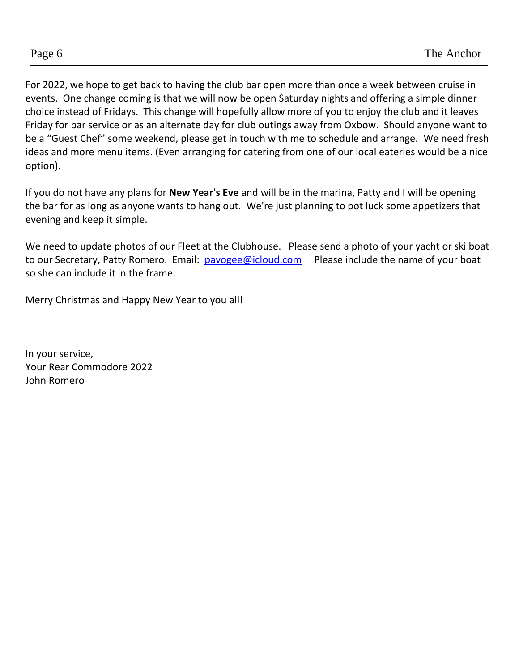For 2022, we hope to get back to having the club bar open more than once a week between cruise in events. One change coming is that we will now be open Saturday nights and offering a simple dinner choice instead of Fridays. This change will hopefully allow more of you to enjoy the club and it leaves Friday for bar service or as an alternate day for club outings away from Oxbow. Should anyone want to be a "Guest Chef" some weekend, please get in touch with me to schedule and arrange. We need fresh ideas and more menu items. (Even arranging for catering from one of our local eateries would be a nice option).

If you do not have any plans for **New Year's Eve** and will be in the marina, Patty and I will be opening the bar for as long as anyone wants to hang out. We're just planning to pot luck some appetizers that evening and keep it simple.

We need to update photos of our Fleet at the Clubhouse. Please send a photo of your yacht or ski boat to our Secretary, Patty Romero. Email: [pavogee@icloud.com](mailto:pavogee@icloud.com)  Please include the name of your boat so she can include it in the frame.

Merry Christmas and Happy New Year to you all!

In your service, Your Rear Commodore 2022 John Romero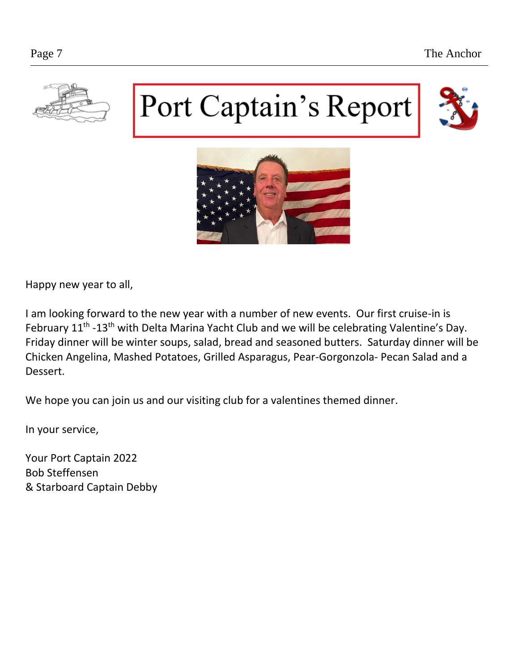

# Port Captain's Report





Happy new year to all,

I am looking forward to the new year with a number of new events. Our first cruise-in is February 11<sup>th</sup> -13<sup>th</sup> with Delta Marina Yacht Club and we will be celebrating Valentine's Day. Friday dinner will be winter soups, salad, bread and seasoned butters. Saturday dinner will be Chicken Angelina, Mashed Potatoes, Grilled Asparagus, Pear-Gorgonzola- Pecan Salad and a Dessert.

We hope you can join us and our visiting club for a valentines themed dinner.

In your service,

Your Port Captain 2022 Bob Steffensen & Starboard Captain Debby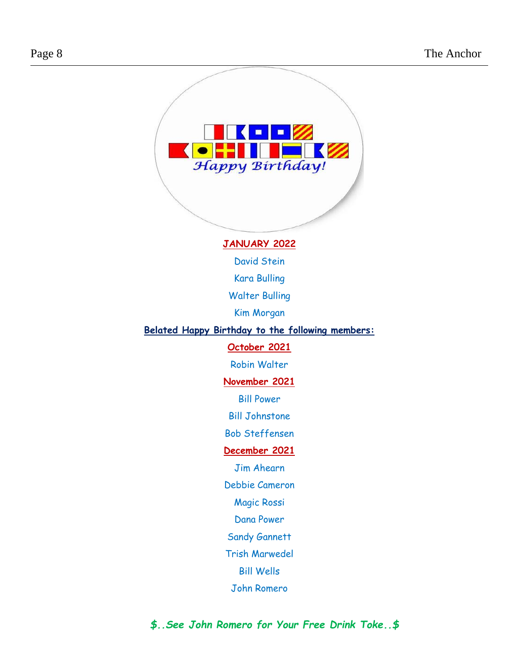

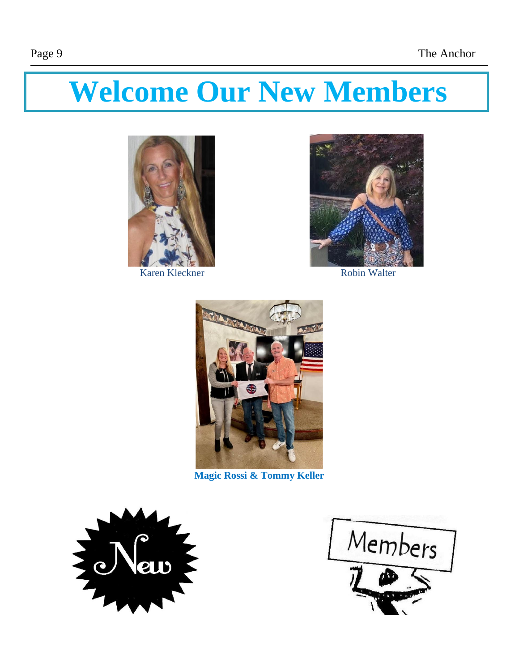## **Welcome Our New Members**



Karen Kleckner Robin Walter





**Magic Rossi & Tommy Keller**



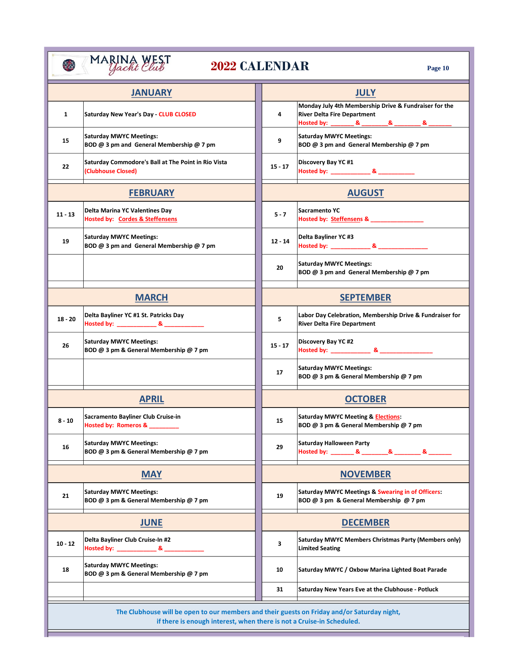|                 | <b>JANUARY</b>                                                                        |                 | <b>JULY</b>                                                                                                                                     |
|-----------------|---------------------------------------------------------------------------------------|-----------------|-------------------------------------------------------------------------------------------------------------------------------------------------|
| 1               | Saturday New Year's Day - CLUB CLOSED                                                 | 4               | Monday July 4th Membership Drive & Fundraiser for the<br><b>River Delta Fire Department</b><br>Hosted by: _________ & _________ & _________ & _ |
| 15              | <b>Saturday MWYC Meetings:</b><br>BOD @ 3 pm and General Membership @ 7 pm            | 9               | <b>Saturday MWYC Meetings:</b><br>BOD @ 3 pm and General Membership @ 7 pm                                                                      |
| 22              | Saturday Commodore's Ball at The Point in Rio Vista<br>(Clubhouse Closed)             | $15 - 17$       | Discovery Bay YC #1<br>Hosted by: ________________ & _______________                                                                            |
| <b>FEBRUARY</b> |                                                                                       | <b>AUGUST</b>   |                                                                                                                                                 |
| $11 - 13$       | Delta Marina YC Valentines Day<br><b>Hosted by: Cordes &amp; Steffensens</b>          | $5 - 7$         | <b>Sacramento YC</b><br>Hosted by: Steffensens & ________________                                                                               |
| 19              | <b>Saturday MWYC Meetings:</b><br>BOD @ 3 pm and General Membership @ 7 pm            | $12 - 14$       | Delta Bayliner YC #3                                                                                                                            |
|                 |                                                                                       | 20              | <b>Saturday MWYC Meetings:</b><br>BOD @ 3 pm and General Membership @ 7 pm                                                                      |
| <b>MARCH</b>    |                                                                                       |                 | <b>SEPTEMBER</b>                                                                                                                                |
| $18 - 20$       | Delta Bayliner YC #1 St. Patricks Day<br>Hosted by: _______________ & _______________ | 5               | Labor Day Celebration, Membership Drive & Fundraiser for<br><b>River Delta Fire Department</b>                                                  |
| 26              | <b>Saturday MWYC Meetings:</b><br>BOD @ 3 pm & General Membership @ 7 pm              | $15 - 17$       | Discovery Bay YC #2                                                                                                                             |
|                 |                                                                                       | 17              | <b>Saturday MWYC Meetings:</b><br>BOD @ 3 pm & General Membership @ 7 pm                                                                        |
| <b>APRIL</b>    |                                                                                       |                 | <b>OCTOBER</b>                                                                                                                                  |
| $8 - 10$        | Sacramento Bayliner Club Cruise-in<br>Hosted by: Romeros & ___                        | 15              | <b>Saturday MWYC Meeting &amp; Elections:</b><br>BOD @ 3 pm & General Membership @ 7 pm                                                         |
| 16              | <b>Saturday MWYC Meetings:</b><br>BOD @ 3 pm & General Membership @ 7 pm              | 29              | Saturday Halloween Party                                                                                                                        |
| <b>MAY</b>      |                                                                                       | <b>NOVEMBER</b> |                                                                                                                                                 |
| 21              | <b>Saturday MWYC Meetings:</b><br>BOD @ 3 pm & General Membership @ 7 pm              | 19              | Saturday MWYC Meetings & Swearing in of Officers:<br>BOD @ 3 pm & General Membership @ 7 pm                                                     |
| <b>JUNE</b>     |                                                                                       | <b>DECEMBER</b> |                                                                                                                                                 |
| $10 - 12$       | Delta Bayliner Club Cruise-In #2<br>Hosted by: ________________ & ________________    | 3               | Saturday MWYC Members Christmas Party (Members only)<br><b>Limited Seating</b>                                                                  |
| 18              | <b>Saturday MWYC Meetings:</b><br>BOD @ 3 pm & General Membership @ 7 pm              | 10              | Saturday MWYC / Oxbow Marina Lighted Boat Parade                                                                                                |
|                 |                                                                                       | 31              | Saturday New Years Eve at the Clubhouse - Potluck                                                                                               |